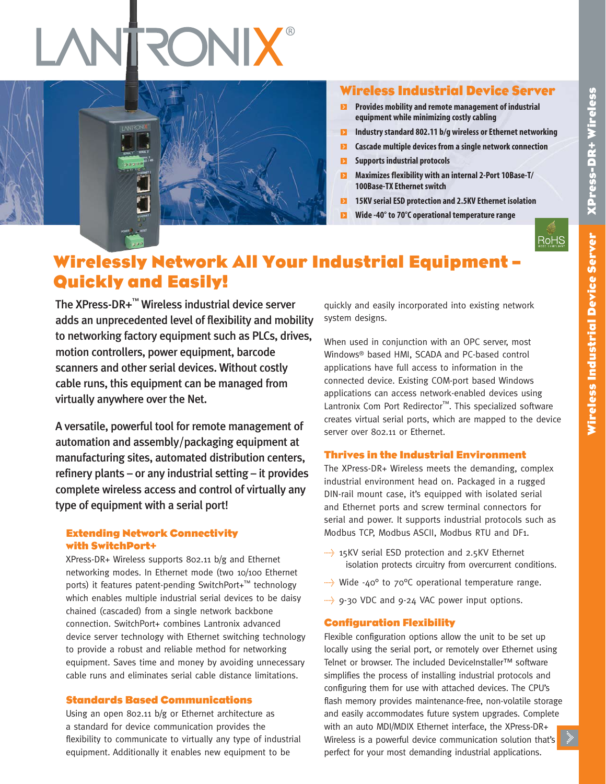

# **Wireless Industrial Device Server**

- **Provides mobility and remote management of industrial equipment while minimizing costlycabling**
- **Industry standard 802.11 b/g wireless or Ethernet networking**
- **Cascade multiple devices from a single network connection**  $\blacksquare$
- **Supports industrial protocols**   $\mathbf{E}$
- $\blacksquare$ **Maximizes flexibility with an internal 2-Port 10Base-T/ 100Base-TX Ethernet switch**
- $\blacksquare$ **15KV serialESD protection and 2.5KV Ethernet isolation**
- $\mathbf{E}$ **Wide -40° to 70°C operational temperature range**



# **Wirelessly Network All Your Industrial Equipment – Quickly and Easily!**

The XPress-DR+™ Wireless industrial device server adds an unprecedented level of flexibility and mobility to networking factory equipment such as PLCs, drives, motion controllers, power equipment, barcode scanners and other serial devices. Without costly cable runs, this equipment can be managed from virtually anywhere over the Net.

A versatile, powerful tool for remote management of automation and assembly/packaging equipment at manufacturing sites, automated distribution centers, refinery plants – or any industrial setting – it provides complete wireless access and control of virtually any type of equipment with a serial port!

### **Extending Network Connectivity with SwitchPort+**

XPress-DR+ Wireless supports 802.11 b/g and Ethernet networking modes. In Ethernet mode (two 10/100 Ethernet ports) it features patent-pending SwitchPort+™ technology which enables multiple industrial serial devices to be daisy chained (cascaded) from a single network backbone connection. SwitchPort+ combines Lantronix advanced device server technology with Ethernet switching technology to provide a robust and reliable method for networking equipment. Saves time and money by avoiding unnecessary cable runs and eliminates serial cable distance limitations.

### **Standards Based Communications**

Using an open 802.11 b/g or Ethernet architecture as a standard for device communication provides the flexibility to communicate to virtually any type of industrial equipment. Additionally it enables new equipment to be

quickly and easily incorporated into existing network system designs.

When used in conjunction with an OPC server, most Windows® based HMI, SCADA and PC-based control applications have full access to information in the connected device. Existing COM-port based Windows applications can access network-enabled devices using Lantronix Com Port Redirector ™. This specialized software creates virtual serial ports, which are mapped to the device server over 802.11 or Ethernet.

### **Thrives in the Industrial Environment**

The XPress-DR+ Wireless meets the demanding, complex industrial environment head on. Packaged in a rugged DIN-rail mount case, it's equipped with isolated serial and Ethernet ports and screw terminal connectors for serial and power. It supports industrial protocols such as Modbus TCP, Modbus ASCII, Modbus RTU and DF1.

- $\rightarrow$  15KV serial ESD protection and 2.5KV Ethernet isolation protects circuitry from overcurrent conditions.
- $\rightarrow$  Wide -40° to 70°C operational temperature range.
- $\rightarrow$  9-30 VDC and 9-24 VAC power input options.

### **Configuration Flexibility**

Flexible configuration options allow the unit to be set up locally using the serial port, or remotely over Ethernet using Telnet or browser. The included DeviceInstaller™ software simplifies the process of installing industrial protocols and configuring them for use with attached devices. The CPU's flash memory provides maintenance-free, non-volatile storage and easily accommodates future system upgrades. Complete with an auto MDI/MDIX Ethernet interface, the XPress-DR+ Wireless is a powerful device communication solution that's perfect for your most demanding industrial applications.